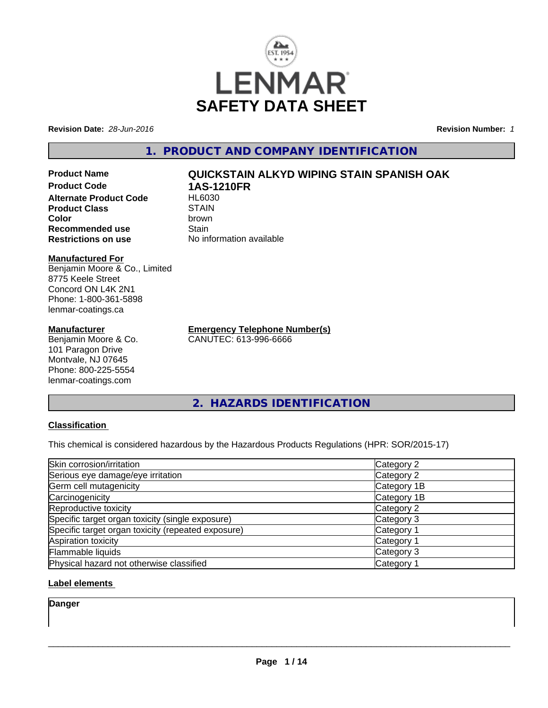

**Revision Date:** *28-Jun-2016* **Revision Number:** *1*

**1. PRODUCT AND COMPANY IDENTIFICATION**

**Product Name QUICKSTAIN ALKYD WIPING STAIN SPANISH OAK Product Code 1AS-1210FR Alternate Product Code Product Class** STAIN<br> **Color** brown **Color** brown **Recommended use Stain Restrictions on use** No information available

#### **Manufactured For**

Benjamin Moore & Co., Limited 8775 Keele Street Concord ON L4K 2N1 Phone: 1-800-361-5898 lenmar-coatings.ca

### **Manufacturer**

Benjamin Moore & Co. 101 Paragon Drive Montvale, NJ 07645 Phone: 800-225-5554 lenmar-coatings.com

**Emergency Telephone Number(s)** CANUTEC: 613-996-6666

**2. HAZARDS IDENTIFICATION**

# **Classification**

This chemical is considered hazardous by the Hazardous Products Regulations (HPR: SOR/2015-17)

| Skin corrosion/irritation                          | Category 2            |
|----------------------------------------------------|-----------------------|
| Serious eye damage/eye irritation                  | Category 2            |
| Germ cell mutagenicity                             | Category 1B           |
| Carcinogenicity                                    | Category 1B           |
| Reproductive toxicity                              | Category 2            |
| Specific target organ toxicity (single exposure)   | Category 3            |
| Specific target organ toxicity (repeated exposure) | Category <sup>2</sup> |
| Aspiration toxicity                                | Category 1            |
| Flammable liquids                                  | Category 3            |
| Physical hazard not otherwise classified           | Category 1            |

# **Label elements**

**Danger**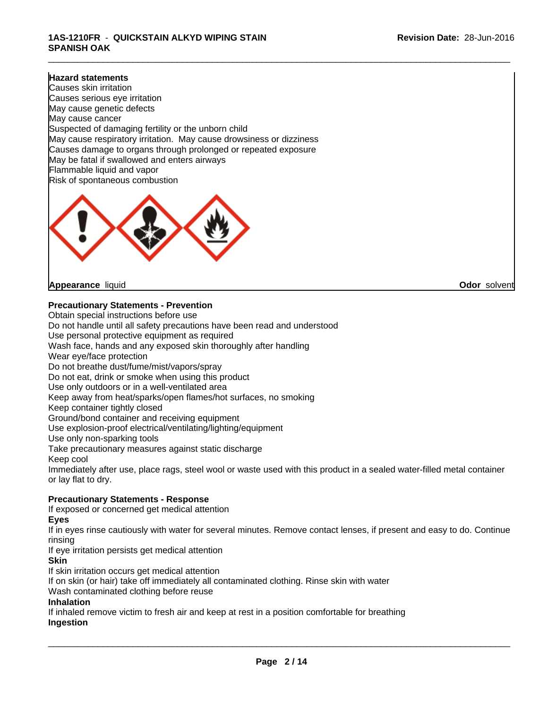# **1AS-1210FR** - **QUICKSTAIN ALKYD WIPING STAIN SPANISH OAK**

#### **Hazard statements**

Causes skin irritation Causes serious eye irritation May cause genetic defects May cause cancer Suspected of damaging fertility or the unborn child May cause respiratory irritation. May cause drowsiness or dizziness Causes damage to organs through prolonged or repeated exposure May be fatal if swallowed and enters airways Flammable liquid and vapor Risk of spontaneous combustion



**Appearance** liquid **Odor** solvent

**Precautionary Statements - Prevention**

Obtain special instructions before use Do not handle until all safety precautions have been read and understood Use personal protective equipment as required Wash face, hands and any exposed skin thoroughly after handling Wear eye/face protection Do not breathe dust/fume/mist/vapors/spray Do not eat, drink or smoke when using this product Use only outdoors or in a well-ventilated area Keep away from heat/sparks/open flames/hot surfaces, no smoking Keep container tightly closed Ground/bond container and receiving equipment Use explosion-proof electrical/ventilating/lighting/equipment Use only non-sparking tools Take precautionary measures against static discharge Keep cool Immediately after use, place rags, steel wool or waste used with this product in a sealed water-filled metal container or lay flat to dry. **Precautionary Statements - Response** If exposed or concerned get medical attention

#### **Eyes**

If in eyes rinse cautiously with water for several minutes. Remove contact lenses, if present and easy to do. Continue rinsing

If eye irritation persists get medical attention

#### **Skin**

If skin irritation occurs get medical attention

If on skin (or hair) take off immediately all contaminated clothing. Rinse skin with water

Wash contaminated clothing before reuse

#### **Inhalation**

If inhaled remove victim to fresh air and keep at rest in a position comfortable for breathing **Ingestion**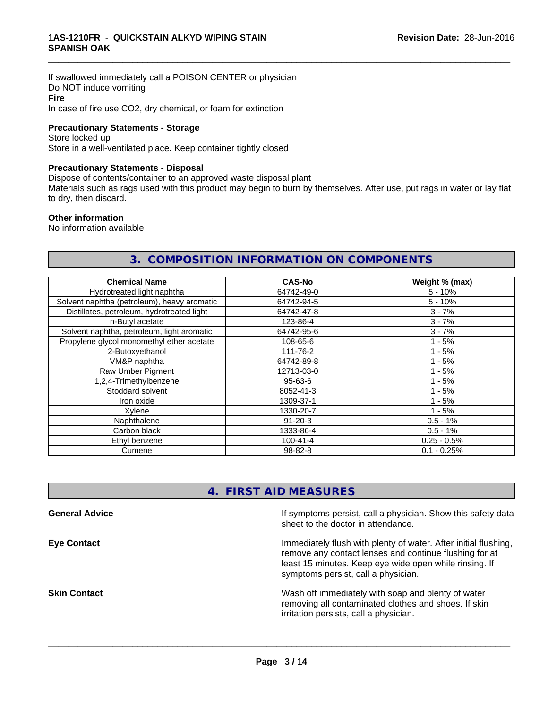If swallowed immediately call a POISON CENTER or physician Do NOT induce vomiting **Fire** In case of fire use CO2, dry chemical, or foam for extinction

#### **Precautionary Statements - Storage**

Store locked up Store in a well-ventilated place. Keep container tightly closed

#### **Precautionary Statements - Disposal**

Dispose of contents/container to an approved waste disposal plant

Materials such as rags used with this product may begin to burn by themselves. After use, put rags in water or lay flat to dry, then discard.

\_\_\_\_\_\_\_\_\_\_\_\_\_\_\_\_\_\_\_\_\_\_\_\_\_\_\_\_\_\_\_\_\_\_\_\_\_\_\_\_\_\_\_\_\_\_\_\_\_\_\_\_\_\_\_\_\_\_\_\_\_\_\_\_\_\_\_\_\_\_\_\_\_\_\_\_\_\_\_\_\_\_\_\_\_\_\_\_\_\_\_\_\_

#### **Other information**

No information available

# **3. COMPOSITION INFORMATION ON COMPONENTS**

| <b>Chemical Name</b>                        | <b>CAS-No</b>  | Weight % (max) |
|---------------------------------------------|----------------|----------------|
| Hydrotreated light naphtha                  | 64742-49-0     | $5 - 10%$      |
| Solvent naphtha (petroleum), heavy aromatic | 64742-94-5     | $5 - 10%$      |
| Distillates, petroleum, hydrotreated light  | 64742-47-8     | $3 - 7%$       |
| n-Butyl acetate                             | 123-86-4       | $3 - 7%$       |
| Solvent naphtha, petroleum, light aromatic  | 64742-95-6     | $3 - 7%$       |
| Propylene glycol monomethyl ether acetate   | 108-65-6       | $1 - 5%$       |
| 2-Butoxyethanol                             | 111-76-2       | $1 - 5%$       |
| VM&P naphtha                                | 64742-89-8     | $1 - 5%$       |
| Raw Umber Pigment                           | 12713-03-0     | $1 - 5%$       |
| 1,2,4-Trimethylbenzene                      | 95-63-6        | $1 - 5%$       |
| Stoddard solvent                            | 8052-41-3      | $1 - 5%$       |
| Iron oxide                                  | 1309-37-1      | $1 - 5%$       |
| Xylene                                      | 1330-20-7      | $1 - 5%$       |
| Naphthalene                                 | $91 - 20 - 3$  | $0.5 - 1%$     |
| Carbon black                                | 1333-86-4      | $0.5 - 1%$     |
| Ethyl benzene                               | $100 - 41 - 4$ | $0.25 - 0.5%$  |
| Cumene                                      | 98-82-8        | $0.1 - 0.25%$  |

# **4. FIRST AID MEASURES**

**General Advice** If symptoms persist, call a physician. Show this safety data sheet to the doctor in attendance. **Eye Contact Immediately flush with plenty of water. After initial flushing,** remove any contact lenses and continue flushing for at least 15 minutes. Keep eye wide open while rinsing. If symptoms persist, call a physician. **Skin Contact** Superintenside Wash off immediately with soap and plenty of water removing all contaminated clothes and shoes. If skin irritation persists, call a physician.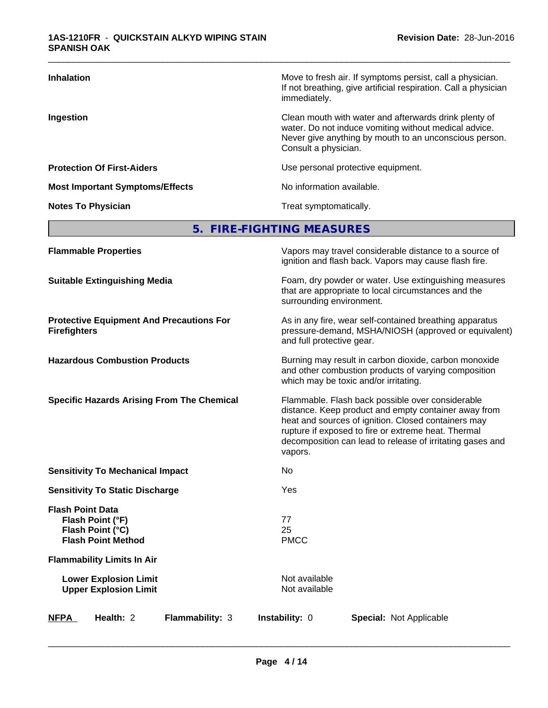| <b>Inhalation</b>                      | Move to fresh air. If symptoms persist, call a physician.<br>If not breathing, give artificial respiration. Call a physician<br>immediately.                                                     |
|----------------------------------------|--------------------------------------------------------------------------------------------------------------------------------------------------------------------------------------------------|
| Ingestion                              | Clean mouth with water and afterwards drink plenty of<br>water. Do not induce vomiting without medical advice.<br>Never give anything by mouth to an unconscious person.<br>Consult a physician. |
| <b>Protection Of First-Aiders</b>      | Use personal protective equipment.                                                                                                                                                               |
| <b>Most Important Symptoms/Effects</b> | No information available.                                                                                                                                                                        |
| <b>Notes To Physician</b>              | Treat symptomatically.                                                                                                                                                                           |

# **5. FIRE-FIGHTING MEASURES**

| <b>Flammable Properties</b>                                                                  | Vapors may travel considerable distance to a source of<br>ignition and flash back. Vapors may cause flash fire.                                                                                                                                                                                |
|----------------------------------------------------------------------------------------------|------------------------------------------------------------------------------------------------------------------------------------------------------------------------------------------------------------------------------------------------------------------------------------------------|
| <b>Suitable Extinguishing Media</b>                                                          | Foam, dry powder or water. Use extinguishing measures<br>that are appropriate to local circumstances and the<br>surrounding environment.                                                                                                                                                       |
| <b>Protective Equipment And Precautions For</b><br><b>Firefighters</b>                       | As in any fire, wear self-contained breathing apparatus<br>pressure-demand, MSHA/NIOSH (approved or equivalent)<br>and full protective gear.                                                                                                                                                   |
| <b>Hazardous Combustion Products</b>                                                         | Burning may result in carbon dioxide, carbon monoxide<br>and other combustion products of varying composition<br>which may be toxic and/or irritating.                                                                                                                                         |
| <b>Specific Hazards Arising From The Chemical</b>                                            | Flammable. Flash back possible over considerable<br>distance. Keep product and empty container away from<br>heat and sources of ignition. Closed containers may<br>rupture if exposed to fire or extreme heat. Thermal<br>decomposition can lead to release of irritating gases and<br>vapors. |
| <b>Sensitivity To Mechanical Impact</b>                                                      | No                                                                                                                                                                                                                                                                                             |
| <b>Sensitivity To Static Discharge</b>                                                       | Yes                                                                                                                                                                                                                                                                                            |
| <b>Flash Point Data</b><br>Flash Point (°F)<br>Flash Point (°C)<br><b>Flash Point Method</b> | 77<br>25<br><b>PMCC</b>                                                                                                                                                                                                                                                                        |
| <b>Flammability Limits In Air</b>                                                            |                                                                                                                                                                                                                                                                                                |
| <b>Lower Explosion Limit</b><br><b>Upper Explosion Limit</b>                                 | Not available<br>Not available                                                                                                                                                                                                                                                                 |
| Health: 2<br>Flammability: 3<br><b>NFPA</b>                                                  | Instability: 0<br><b>Special: Not Applicable</b>                                                                                                                                                                                                                                               |
|                                                                                              |                                                                                                                                                                                                                                                                                                |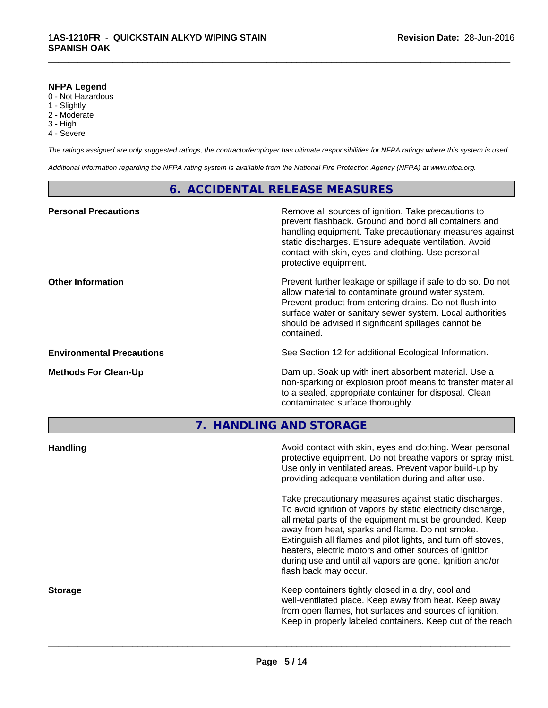# **NFPA Legend**

- 0 Not Hazardous
- 1 Slightly
- 2 Moderate
- 3 High
- 4 Severe

*The ratings assigned are only suggested ratings, the contractor/employer has ultimate responsibilities for NFPA ratings where this system is used.*

\_\_\_\_\_\_\_\_\_\_\_\_\_\_\_\_\_\_\_\_\_\_\_\_\_\_\_\_\_\_\_\_\_\_\_\_\_\_\_\_\_\_\_\_\_\_\_\_\_\_\_\_\_\_\_\_\_\_\_\_\_\_\_\_\_\_\_\_\_\_\_\_\_\_\_\_\_\_\_\_\_\_\_\_\_\_\_\_\_\_\_\_\_

*Additional information regarding the NFPA rating system is available from the National Fire Protection Agency (NFPA) at www.nfpa.org.*

# **6. ACCIDENTAL RELEASE MEASURES**

| <b>Personal Precautions</b>      | Remove all sources of ignition. Take precautions to<br>prevent flashback. Ground and bond all containers and<br>handling equipment. Take precautionary measures against<br>static discharges. Ensure adequate ventilation. Avoid<br>contact with skin, eyes and clothing. Use personal<br>protective equipment.  |
|----------------------------------|------------------------------------------------------------------------------------------------------------------------------------------------------------------------------------------------------------------------------------------------------------------------------------------------------------------|
| <b>Other Information</b>         | Prevent further leakage or spillage if safe to do so. Do not<br>allow material to contaminate ground water system.<br>Prevent product from entering drains. Do not flush into<br>surface water or sanitary sewer system. Local authorities<br>should be advised if significant spillages cannot be<br>contained. |
| <b>Environmental Precautions</b> | See Section 12 for additional Ecological Information.                                                                                                                                                                                                                                                            |
| <b>Methods For Clean-Up</b>      | Dam up. Soak up with inert absorbent material. Use a<br>non-sparking or explosion proof means to transfer material<br>to a sealed, appropriate container for disposal. Clean<br>contaminated surface thoroughly.                                                                                                 |
|                                  |                                                                                                                                                                                                                                                                                                                  |

# **7. HANDLING AND STORAGE**

| protective equipment. Do not breathe vapors or spray mist.<br>Use only in ventilated areas. Prevent vapor build-up by<br>providing adequate ventilation during and after use.                                                                                                                                                                                                                                                                        |
|------------------------------------------------------------------------------------------------------------------------------------------------------------------------------------------------------------------------------------------------------------------------------------------------------------------------------------------------------------------------------------------------------------------------------------------------------|
| Take precautionary measures against static discharges.<br>To avoid ignition of vapors by static electricity discharge,<br>all metal parts of the equipment must be grounded. Keep<br>away from heat, sparks and flame. Do not smoke.<br>Extinguish all flames and pilot lights, and turn off stoves,<br>heaters, electric motors and other sources of ignition<br>during use and until all vapors are gone. Ignition and/or<br>flash back may occur. |
| Keep containers tightly closed in a dry, cool and<br>well-ventilated place. Keep away from heat. Keep away<br>from open flames, hot surfaces and sources of ignition.<br>Keep in properly labeled containers. Keep out of the reach                                                                                                                                                                                                                  |
|                                                                                                                                                                                                                                                                                                                                                                                                                                                      |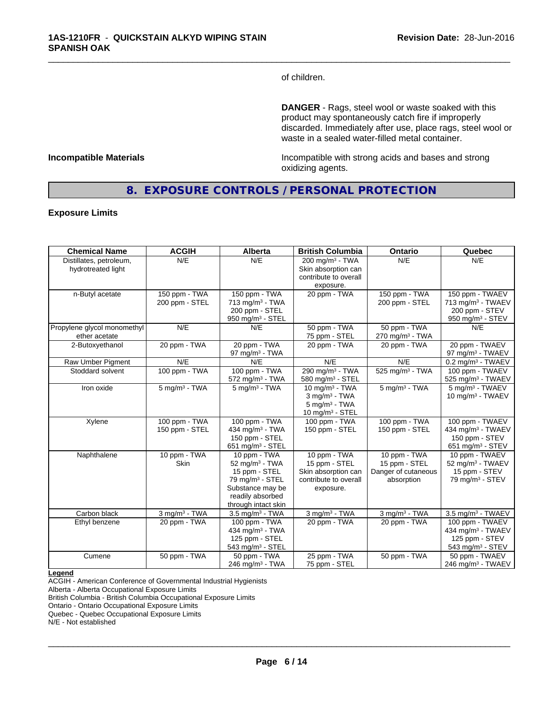of children.

\_\_\_\_\_\_\_\_\_\_\_\_\_\_\_\_\_\_\_\_\_\_\_\_\_\_\_\_\_\_\_\_\_\_\_\_\_\_\_\_\_\_\_\_\_\_\_\_\_\_\_\_\_\_\_\_\_\_\_\_\_\_\_\_\_\_\_\_\_\_\_\_\_\_\_\_\_\_\_\_\_\_\_\_\_\_\_\_\_\_\_\_\_

**DANGER** - Rags, steel wool or waste soaked with this product may spontaneously catch fire if improperly discarded. Immediately after use, place rags, steel wool or waste in a sealed water-filled metal container.

**Incompatible Materials Incompatible with strong acids and bases and strong** oxidizing agents.

# **8. EXPOSURE CONTROLS / PERSONAL PROTECTION**

#### **Exposure Limits**

| <b>Chemical Name</b>                          | <b>ACGIH</b>                    | <b>Alberta</b>                                                                                                                                            | <b>British Columbia</b>                                                                               | Ontario                                                            | Quebec                                                                                             |
|-----------------------------------------------|---------------------------------|-----------------------------------------------------------------------------------------------------------------------------------------------------------|-------------------------------------------------------------------------------------------------------|--------------------------------------------------------------------|----------------------------------------------------------------------------------------------------|
| Distillates, petroleum,<br>hydrotreated light | N/E                             | N/E                                                                                                                                                       | $200 \text{ mg/m}^3$ - TWA<br>Skin absorption can<br>contribute to overall<br>exposure.               | N/E                                                                | N/E                                                                                                |
| n-Butyl acetate                               | 150 ppm - TWA<br>200 ppm - STEL | 150 ppm - TWA<br>713 mg/m <sup>3</sup> - TWA<br>200 ppm - STEL<br>950 mg/m $3 -$ STEL                                                                     | 20 ppm - TWA                                                                                          | 150 ppm - TWA<br>200 ppm - STEL                                    | 150 ppm - TWAEV<br>713 mg/m <sup>3</sup> - TWAEV<br>200 ppm - STEV<br>950 mg/m <sup>3</sup> - STEV |
| Propylene glycol monomethyl<br>ether acetate  | N/E                             | N/E                                                                                                                                                       | 50 ppm - TWA<br>75 ppm - STEL                                                                         | 50 ppm - TWA<br>$270$ mg/m <sup>3</sup> - TWA                      | N/E                                                                                                |
| 2-Butoxyethanol                               | 20 ppm - TWA                    | 20 ppm - TWA<br>97 mg/m $3$ - TWA                                                                                                                         | 20 ppm - TWA                                                                                          | 20 ppm - TWA                                                       | 20 ppm - TWAEV<br>97 mg/m <sup>3</sup> - TWAEV                                                     |
| Raw Umber Pigment                             | N/E                             | N/E                                                                                                                                                       | N/E                                                                                                   | N/E                                                                | $0.2$ mg/m <sup>3</sup> - TWAEV                                                                    |
| Stoddard solvent                              | 100 ppm - TWA                   | 100 ppm - TWA<br>$572$ mg/m <sup>3</sup> - TWA                                                                                                            | 290 mg/m <sup>3</sup> - TWA<br>580 mg/m <sup>3</sup> - STEL                                           | 525 mg/m <sup>3</sup> - TWA                                        | 100 ppm - TWAEV<br>525 mg/m <sup>3</sup> - TWAEV                                                   |
| Iron oxide                                    | $5$ mg/m <sup>3</sup> - TWA     | $5 \text{ ma/m}^3$ - TWA                                                                                                                                  | 10 mg/m $3$ - TWA<br>$3$ mg/m $3$ - TWA<br>$5$ mg/m <sup>3</sup> - TWA<br>10 mg/m <sup>3</sup> - STEL | $5$ mg/m $3$ - TWA                                                 | 5 mg/m <sup>3</sup> - TWAEV<br>10 mg/m $3$ - TWAEV                                                 |
| Xylene                                        | 100 ppm - TWA<br>150 ppm - STEL | 100 ppm - TWA<br>434 mg/m <sup>3</sup> - TWA<br>150 ppm - STEL<br>651 mg/m $3 -$ STEL                                                                     | 100 ppm - TWA<br>150 ppm - STEL                                                                       | 100 ppm - TWA<br>150 ppm - STEL                                    | 100 ppm - TWAEV<br>434 mg/m <sup>3</sup> - TWAEV<br>150 ppm - STEV<br>651 mg/m <sup>3</sup> - STEV |
| Naphthalene                                   | 10 ppm - TWA<br><b>Skin</b>     | 10 ppm - TWA<br>52 mg/m <sup>3</sup> - TWA<br>15 ppm - STEL<br>79 mg/m <sup>3</sup> - STEL<br>Substance may be<br>readily absorbed<br>through intact skin | 10 ppm - TWA<br>15 ppm - STEL<br>Skin absorption can<br>contribute to overall<br>exposure.            | 10 ppm - TWA<br>15 ppm - STEL<br>Danger of cutaneous<br>absorption | 10 ppm - TWAEV<br>52 mg/m <sup>3</sup> - TWAEV<br>15 ppm - STEV<br>79 mg/m <sup>3</sup> - STEV     |
| Carbon black                                  | $3$ mg/m $3$ - TWA              | $3.5$ mg/m <sup>3</sup> - TWA                                                                                                                             | $3$ mg/m $3$ - TWA                                                                                    | $3$ mg/m $3$ - TWA                                                 | 3.5 mg/m <sup>3</sup> - TWAEV                                                                      |
| Ethyl benzene                                 | 20 ppm - TWA                    | 100 ppm - TWA<br>434 mg/m <sup>3</sup> - TWA<br>125 ppm - STEL<br>543 mg/m $3 -$ STEL                                                                     | 20 ppm - TWA                                                                                          | 20 ppm - TWA                                                       | 100 ppm - TWAEV<br>434 mg/m <sup>3</sup> - TWAEV<br>125 ppm - STEV<br>543 mg/m <sup>3</sup> - STEV |
| Cumene                                        | 50 ppm - TWA                    | 50 ppm - TWA<br>246 mg/m $3$ - TWA                                                                                                                        | 25 ppm - TWA<br>75 ppm - STEL                                                                         | 50 ppm - TWA                                                       | 50 ppm - TWAEV<br>246 mg/m <sup>3</sup> - TWAEV                                                    |

#### **Legend**

ACGIH - American Conference of Governmental Industrial Hygienists

Alberta - Alberta Occupational Exposure Limits

British Columbia - British Columbia Occupational Exposure Limits

Ontario - Ontario Occupational Exposure Limits

Quebec - Quebec Occupational Exposure Limits

N/E - Not established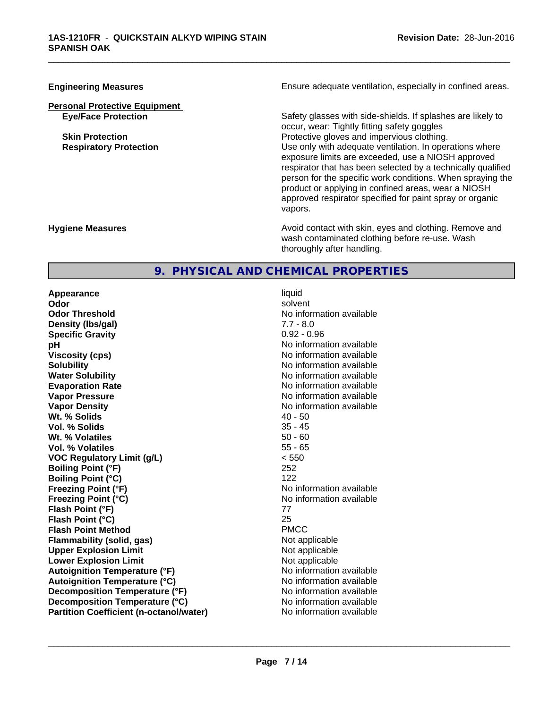**Personal Protective Equipment**

**Engineering Measures Ensure** Ensure adequate ventilation, especially in confined areas.

\_\_\_\_\_\_\_\_\_\_\_\_\_\_\_\_\_\_\_\_\_\_\_\_\_\_\_\_\_\_\_\_\_\_\_\_\_\_\_\_\_\_\_\_\_\_\_\_\_\_\_\_\_\_\_\_\_\_\_\_\_\_\_\_\_\_\_\_\_\_\_\_\_\_\_\_\_\_\_\_\_\_\_\_\_\_\_\_\_\_\_\_\_

**Eye/Face Protection** Safety glasses with side-shields. If splashes are likely to occur, wear: Tightly fitting safety goggles **Skin Protection Protection Protective gloves and impervious clothing. Respiratory Protection Exercise 2018** Use only with adequate ventilation. In operations where exposure limits are exceeded, use a NIOSH approved respirator that has been selected by a technically qualified person for the specific work conditions. When spraying the product or applying in confined areas, wear a NIOSH approved respirator specified for paint spray or organic vapors.

**Hygiene Measures Avoid contact with skin, eyes and clothing. Remove and Avoid contact with skin, eyes and clothing. Remove and Avoid contact with skin, eyes and clothing. Remove and** wash contaminated clothing before re-use. Wash thoroughly after handling.

# **9. PHYSICAL AND CHEMICAL PROPERTIES**

**Appearance** liquid **Odor** solvent **Odor Threshold No information available** No information available **Density (lbs/gal)**  $7.7 - 8.0$ <br> **Specific Gravity**  $0.92 - 0.96$ **Specific Gravity**<br>pH **Viscosity (cps)** No information available Notice 1 **Solubility Note 2008 Note 2008 Note 2008 Note 2008 Note 2008 Note 2008 Note 2008 Note 2009 Note 2009 Note 2009 Note 2009 Note 2009 Note 2009 Note 2009 Note 2009 Note 2009 Note 2009 Note Water Solubility Water Solubility No information available Evaporation Rate No information available No information available Vapor Pressure** No information available **Vapor Density No information available** No information available **Wt.** % Solids 40 - 50 **Vol. % Solids** 35 - 45 **Wt. % Volatiles** 50 - 60 **Vol. % Volatiles VOC Regulatory Limit (g/L)** < 550 **Boiling Point (°F)** 252 **Boiling Point (°C)** 122 **Freezing Point (°F)** No information available **Freezing Point (°C)** The state of the Monometer of Noinformation available **Flash Point (°F)** 77 **Flash Point (°C)** 25 **Flash Point Method** PMCC **Flammability (solid, gas)** Not applicable **Upper Explosion Limit**<br> **Lower Explosion Limit**<br> **Lower Explosion Limit**<br> **Not applicable Lower Explosion Limit**<br> **Autoignition Temperature (°F)**<br> **Autoignition Temperature (°F)**<br> **Autoignition Temperature (°F) Autoignition Temperature (°F) Autoignition Temperature (°C)** No information available **Decomposition Temperature (°F)** No information available **Decomposition Temperature (°C)** No information available **Partition Coefficient (n-octanol/water)** No information available

**No information available**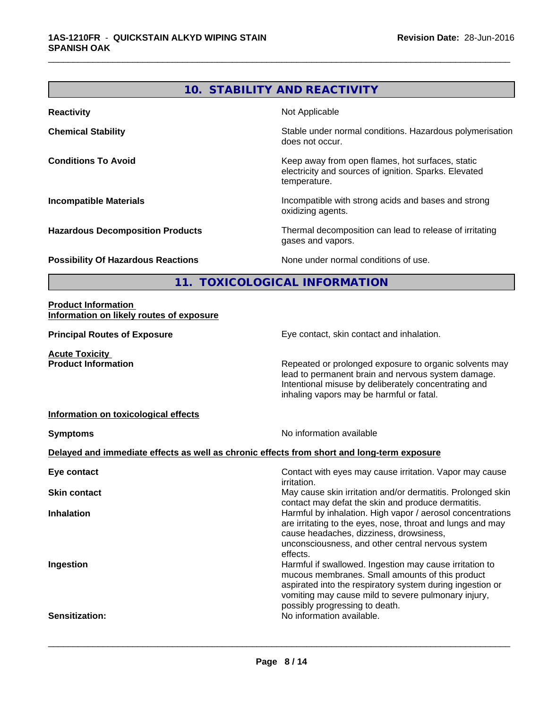# **10. STABILITY AND REACTIVITY**

\_\_\_\_\_\_\_\_\_\_\_\_\_\_\_\_\_\_\_\_\_\_\_\_\_\_\_\_\_\_\_\_\_\_\_\_\_\_\_\_\_\_\_\_\_\_\_\_\_\_\_\_\_\_\_\_\_\_\_\_\_\_\_\_\_\_\_\_\_\_\_\_\_\_\_\_\_\_\_\_\_\_\_\_\_\_\_\_\_\_\_\_\_

| <b>Reactivity</b>                         | Not Applicable                                                                                                            |
|-------------------------------------------|---------------------------------------------------------------------------------------------------------------------------|
| <b>Chemical Stability</b>                 | Stable under normal conditions. Hazardous polymerisation<br>does not occur.                                               |
| <b>Conditions To Avoid</b>                | Keep away from open flames, hot surfaces, static<br>electricity and sources of ignition. Sparks. Elevated<br>temperature. |
| <b>Incompatible Materials</b>             | Incompatible with strong acids and bases and strong<br>oxidizing agents.                                                  |
| <b>Hazardous Decomposition Products</b>   | Thermal decomposition can lead to release of irritating<br>gases and vapors.                                              |
| <b>Possibility Of Hazardous Reactions</b> | None under normal conditions of use.                                                                                      |

**11. TOXICOLOGICAL INFORMATION**

#### **Product Information Information on likely routes of exposure**

**Principal Routes of Exposure Exposure** Eye contact, skin contact and inhalation. **Acute Toxicity Product Information Repeated or prolonged exposure to organic solvents may** lead to permanent brain and nervous system damage. Intentional misuse by deliberately concentrating and inhaling vapors may be harmful or fatal. **Information on toxicological effects Symptoms** No information available **Delayed and immediate effects as well as chronic effects from short and long-term exposure Eye contact Exercise 2** Contact with eyes may cause irritation. Vapor may cause irritation. **Skin contact** May cause skin irritation and/or dermatitis. Prolonged skin contact may defat the skin and produce dermatitis. **Inhalation Inhalation Harmful by inhalation. High vapor / aerosol concentrations** are irritating to the eyes, nose, throat and lungs and may cause headaches, dizziness, drowsiness, unconsciousness, and other central nervous system effects. **Ingestion Ingestion Example 2 Index 1 Harmful if swallowed. Ingestion may cause irritation to** mucous membranes. Small amounts of this product aspirated into the respiratory system during ingestion or vomiting may cause mild to severe pulmonary injury, possibly progressing to death. **Sensitization:** No information available.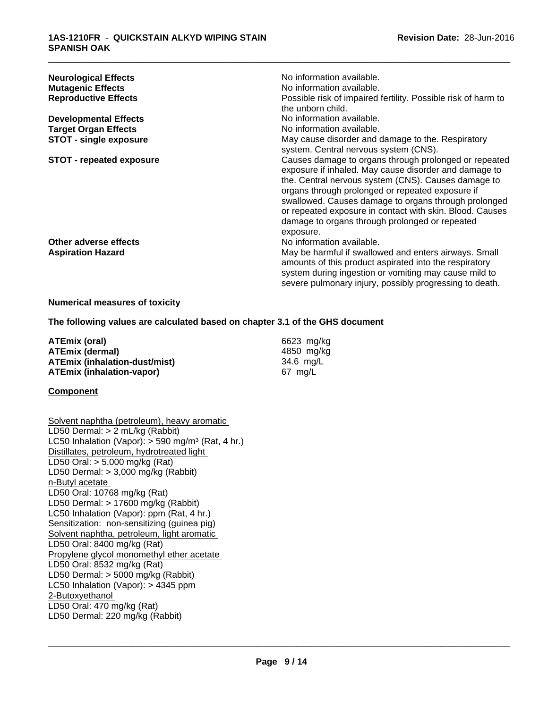| <b>Neurological Effects</b><br><b>Mutagenic Effects</b><br><b>Reproductive Effects</b> | No information available.<br>No information available.<br>Possible risk of impaired fertility. Possible risk of harm to                                                                                                                                                                                                                                                                                      |
|----------------------------------------------------------------------------------------|--------------------------------------------------------------------------------------------------------------------------------------------------------------------------------------------------------------------------------------------------------------------------------------------------------------------------------------------------------------------------------------------------------------|
|                                                                                        | the unborn child.                                                                                                                                                                                                                                                                                                                                                                                            |
| <b>Developmental Effects</b>                                                           | No information available.                                                                                                                                                                                                                                                                                                                                                                                    |
| <b>Target Organ Effects</b>                                                            | No information available.                                                                                                                                                                                                                                                                                                                                                                                    |
| <b>STOT - single exposure</b>                                                          | May cause disorder and damage to the. Respiratory<br>system. Central nervous system (CNS).                                                                                                                                                                                                                                                                                                                   |
| <b>STOT - repeated exposure</b>                                                        | Causes damage to organs through prolonged or repeated<br>exposure if inhaled. May cause disorder and damage to<br>the. Central nervous system (CNS). Causes damage to<br>organs through prolonged or repeated exposure if<br>swallowed. Causes damage to organs through prolonged<br>or repeated exposure in contact with skin. Blood. Causes<br>damage to organs through prolonged or repeated<br>exposure. |
| Other adverse effects                                                                  | No information available.                                                                                                                                                                                                                                                                                                                                                                                    |
| <b>Aspiration Hazard</b>                                                               | May be harmful if swallowed and enters airways. Small<br>amounts of this product aspirated into the respiratory<br>system during ingestion or vomiting may cause mild to<br>severe pulmonary injury, possibly progressing to death.                                                                                                                                                                          |

#### **Numerical measures of toxicity**

**The following values are calculated based on chapter 3.1 of the GHS document**

**ATEmix (oral)** 6623 mg/kg **ATEmix (dermal)** 4850 mg/kg **ATEmix (inhalation-dust/mist)** 34.6 mg/L **ATEmix (inhalation-vapor)** 67 mg/L

# **Component**

Solvent naphtha (petroleum), heavy aromatic LD50 Dermal: > 2 mL/kg (Rabbit) LC50 Inhalation (Vapor): > 590 mg/m<sup>3</sup> (Rat, 4 hr.) Distillates, petroleum, hydrotreated light LD50 Oral: > 5,000 mg/kg (Rat) LD50 Dermal: > 3,000 mg/kg (Rabbit) n-Butyl acetate LD50 Oral: 10768 mg/kg (Rat) LD50 Dermal: > 17600 mg/kg (Rabbit) LC50 Inhalation (Vapor): ppm (Rat, 4 hr.) Sensitization: non-sensitizing (guinea pig) Solvent naphtha, petroleum, light aromatic LD50 Oral: 8400 mg/kg (Rat) Propylene glycol monomethyl ether acetate LD50 Oral: 8532 mg/kg (Rat) LD50 Dermal: > 5000 mg/kg (Rabbit) LC50 Inhalation (Vapor): > 4345 ppm 2-Butoxyethanol LD50 Oral: 470 mg/kg (Rat) LD50 Dermal: 220 mg/kg (Rabbit)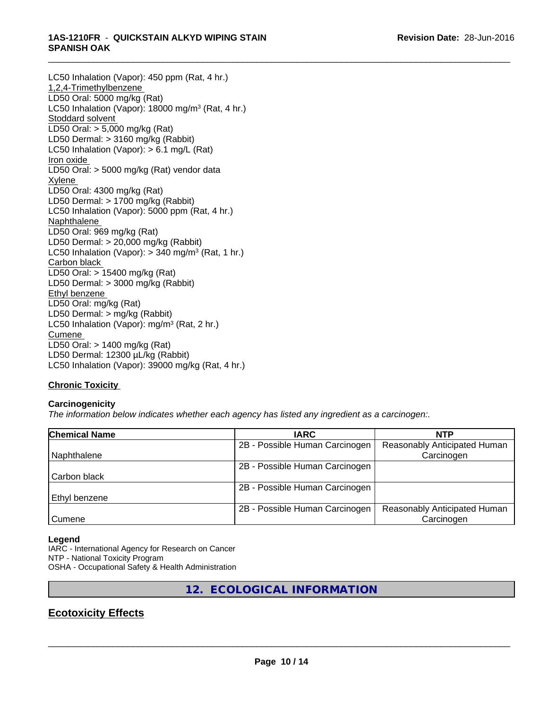#### \_\_\_\_\_\_\_\_\_\_\_\_\_\_\_\_\_\_\_\_\_\_\_\_\_\_\_\_\_\_\_\_\_\_\_\_\_\_\_\_\_\_\_\_\_\_\_\_\_\_\_\_\_\_\_\_\_\_\_\_\_\_\_\_\_\_\_\_\_\_\_\_\_\_\_\_\_\_\_\_\_\_\_\_\_\_\_\_\_\_\_\_\_ **1AS-1210FR** - **QUICKSTAIN ALKYD WIPING STAIN SPANISH OAK**

LC50 Inhalation (Vapor): 450 ppm (Rat, 4 hr.) 1,2,4-Trimethylbenzene LD50 Oral: 5000 mg/kg (Rat) LC50 Inhalation (Vapor): 18000 mg/m<sup>3</sup> (Rat, 4 hr.) Stoddard solvent LD50 Oral: > 5,000 mg/kg (Rat) LD50 Dermal: > 3160 mg/kg (Rabbit) LC50 Inhalation (Vapor): > 6.1 mg/L (Rat) Iron oxide LD50 Oral: > 5000 mg/kg (Rat) vendor data Xylene LD50 Oral: 4300 mg/kg (Rat) LD50 Dermal: > 1700 mg/kg (Rabbit) LC50 Inhalation (Vapor): 5000 ppm (Rat, 4 hr.) Naphthalene LD50 Oral: 969 mg/kg (Rat) LD50 Dermal: > 20,000 mg/kg (Rabbit) LC50 Inhalation (Vapor): > 340 mg/m<sup>3</sup> (Rat, 1 hr.) Carbon black LD50 Oral: > 15400 mg/kg (Rat) LD50 Dermal: > 3000 mg/kg (Rabbit) Ethyl benzene LD50 Oral: mg/kg (Rat) LD50 Dermal: > mg/kg (Rabbit) LC50 Inhalation (Vapor): mg/m<sup>3</sup> (Rat, 2 hr.) **Cumene** LD50 Oral: > 1400 mg/kg (Rat) LD50 Dermal: 12300 µL/kg (Rabbit) LC50 Inhalation (Vapor): 39000 mg/kg (Rat, 4 hr.)

# **Chronic Toxicity**

# **Carcinogenicity**

*The information below indicateswhether each agency has listed any ingredient as a carcinogen:.*

| <b>Chemical Name</b> | <b>IARC</b>                    | <b>NTP</b>                   |
|----------------------|--------------------------------|------------------------------|
|                      | 2B - Possible Human Carcinogen | Reasonably Anticipated Human |
| Naphthalene          |                                | Carcinogen                   |
|                      | 2B - Possible Human Carcinogen |                              |
| Carbon black         |                                |                              |
|                      | 2B - Possible Human Carcinogen |                              |
| <b>Ethyl benzene</b> |                                |                              |
|                      | 2B - Possible Human Carcinogen | Reasonably Anticipated Human |
| Cumene               |                                | Carcinogen                   |

#### **Legend**

IARC - International Agency for Research on Cancer NTP - National Toxicity Program OSHA - Occupational Safety & Health Administration

**12. ECOLOGICAL INFORMATION**

# **Ecotoxicity Effects**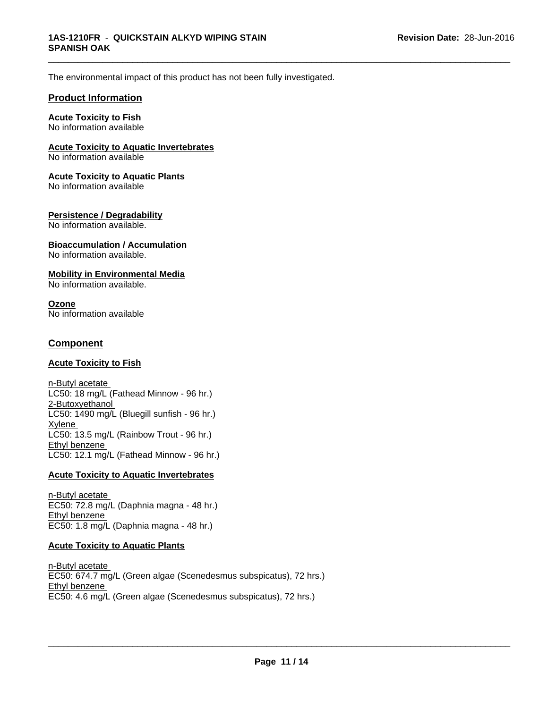The environmental impact of this product has not been fully investigated.

# **Product Information**

# **Acute Toxicity to Fish**

No information available

# **Acute Toxicity to Aquatic Invertebrates**

No information available

### **Acute Toxicity to Aquatic Plants**

No information available

### **Persistence / Degradability**

No information available.

#### **Bioaccumulation / Accumulation** No information available.

### **Mobility in Environmental Media**

No information available.

#### **Ozone** No information available

# **Component**

#### **Acute Toxicity to Fish**

n-Butyl acetate LC50: 18 mg/L (Fathead Minnow - 96 hr.) 2-Butoxyethanol LC50: 1490 mg/L (Bluegill sunfish - 96 hr.) Xylene LC50: 13.5 mg/L (Rainbow Trout - 96 hr.) Ethyl benzene LC50: 12.1 mg/L (Fathead Minnow - 96 hr.)

# **Acute Toxicity to Aquatic Invertebrates**

n-Butyl acetate EC50: 72.8 mg/L (Daphnia magna - 48 hr.) Ethyl benzene EC50: 1.8 mg/L (Daphnia magna - 48 hr.)

# **Acute Toxicity to Aquatic Plants**

n-Butyl acetate EC50: 674.7 mg/L (Green algae (Scenedesmus subspicatus), 72 hrs.) Ethyl benzene EC50: 4.6 mg/L (Green algae (Scenedesmus subspicatus), 72 hrs.)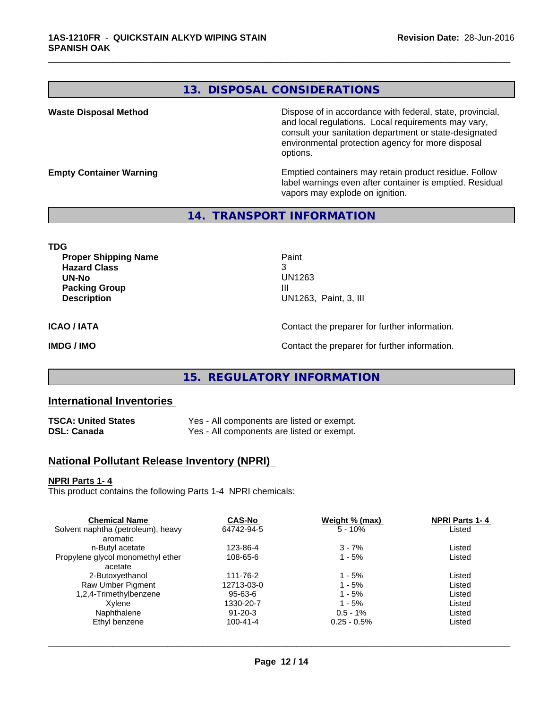# **13. DISPOSAL CONSIDERATIONS**

\_\_\_\_\_\_\_\_\_\_\_\_\_\_\_\_\_\_\_\_\_\_\_\_\_\_\_\_\_\_\_\_\_\_\_\_\_\_\_\_\_\_\_\_\_\_\_\_\_\_\_\_\_\_\_\_\_\_\_\_\_\_\_\_\_\_\_\_\_\_\_\_\_\_\_\_\_\_\_\_\_\_\_\_\_\_\_\_\_\_\_\_\_

**Waste Disposal Method Dispose of in accordance with federal, state, provincial,** and local regulations. Local requirements may vary, consult your sanitation department or state-designated environmental protection agency for more disposal options.

**Empty Container Warning <b>Emptied** Containers may retain product residue. Follow label warnings even after container is emptied. Residual vapors may explode on ignition.

# **14. TRANSPORT INFORMATION**

**TDG Proper Shipping Name Paint Hazard Class** 3 **UN-No** UN1263 **Packing Group III Description** UN1263, Paint, 3, III **ICAO / IATA** Contact the preparer for further information. **IMDG / IMO IMO Contact the preparer for further information.** 

# **15. REGULATORY INFORMATION**

# **International Inventories**

| TSCA: United States | Yes - All components are listed or exempt. |
|---------------------|--------------------------------------------|
| DSL: Canada         | Yes - All components are listed or exempt. |

# **National Pollutant Release Inventory (NPRI)**

#### **NPRI Parts 1- 4**

This product contains the following Parts 1-4 NPRI chemicals:

| <b>Chemical Name</b>               | <b>CAS-No</b>  | Weight % (max) | <b>NPRI Parts 1-4</b> |  |
|------------------------------------|----------------|----------------|-----------------------|--|
| Solvent naphtha (petroleum), heavy | 64742-94-5     | $5 - 10%$      | Listed                |  |
| aromatic                           |                |                |                       |  |
| n-Butyl acetate                    | 123-86-4       | $3 - 7%$       | Listed                |  |
| Propylene glycol monomethyl ether  | 108-65-6       | 1 - 5%         | Listed                |  |
| acetate                            |                |                |                       |  |
| 2-Butoxyethanol                    | 111-76-2       | 1 - 5%         | Listed                |  |
| Raw Umber Pigment                  | 12713-03-0     | 1 - 5%         | Listed                |  |
| 1,2,4-Trimethylbenzene             | 95-63-6        | $1 - 5%$       | Listed                |  |
| Xvlene                             | 1330-20-7      | $1 - 5%$       | Listed                |  |
| Naphthalene                        | $91 - 20 - 3$  | $0.5 - 1\%$    | Listed                |  |
| Ethyl benzene                      | $100 - 41 - 4$ | $0.25 - 0.5\%$ | Listed                |  |
|                                    |                |                |                       |  |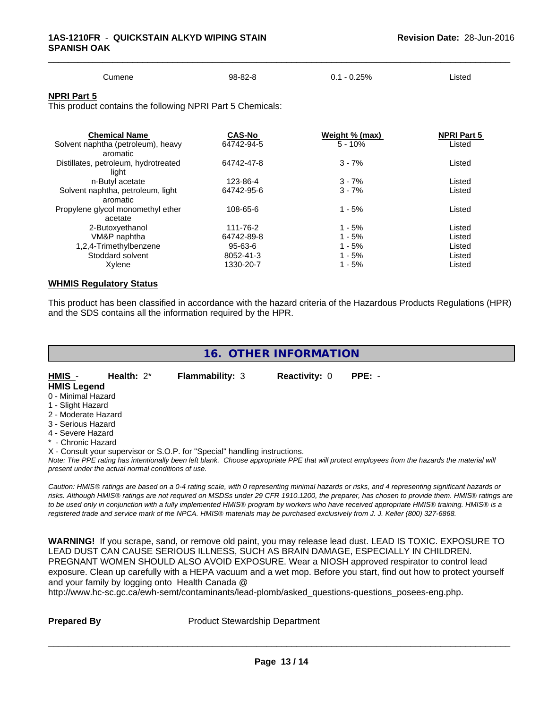| Cumene<br>$\sim$ $\sim$ | 98-82-8 | $-0.25%$<br>υ. | Listed |  |
|-------------------------|---------|----------------|--------|--|

#### **NPRI Part 5**

This product contains the following NPRI Part 5 Chemicals:

| <b>Chemical Name</b>                 | <b>CAS-No</b> | Weight % (max) | <b>NPRI Part 5</b> |  |
|--------------------------------------|---------------|----------------|--------------------|--|
| Solvent naphtha (petroleum), heavy   | 64742-94-5    | $5 - 10%$      | Listed             |  |
| aromatic                             |               |                |                    |  |
| Distillates, petroleum, hydrotreated | 64742-47-8    | $3 - 7%$       | Listed             |  |
| light                                |               |                |                    |  |
| n-Butyl acetate                      | 123-86-4      | $3 - 7%$       | Listed             |  |
| Solvent naphtha, petroleum, light    | 64742-95-6    | $3 - 7%$       | Listed             |  |
| aromatic                             |               |                |                    |  |
| Propylene glycol monomethyl ether    | 108-65-6      | $1 - 5%$       | Listed             |  |
| acetate                              |               |                |                    |  |
| 2-Butoxyethanol                      | 111-76-2      | $1 - 5%$       | Listed             |  |
| VM&P naphtha                         | 64742-89-8    | $1 - 5%$       | Listed             |  |
| 1,2,4-Trimethylbenzene               | $95 - 63 - 6$ | $1 - 5%$       | Listed             |  |
| Stoddard solvent                     | 8052-41-3     | $1 - 5%$       | Listed             |  |
| Xylene                               | 1330-20-7     | $1 - 5%$       | Listed             |  |
|                                      |               |                |                    |  |

#### **WHMIS Regulatory Status**

This product has been classified in accordance with the hazard criteria of the Hazardous Products Regulations (HPR) and the SDS contains all the information required by the HPR.

| 16. OTHER INFORMATION |
|-----------------------|
|-----------------------|

**HMIS** - **Health:** 2\* **Flammability:** 3 **Reactivity:** 0 **PPE:** - **HMIS Legend**

- 0 Minimal Hazard
- 1 Slight Hazard
- 2 Moderate Hazard
- 3 Serious Hazard
- 4 Severe Hazard
- \* Chronic Hazard

X - Consult your supervisor or S.O.P. for "Special" handling instructions.

*Note: The PPE rating has intentionally been left blank. Choose appropriate PPE that will protect employees from the hazards the material will present under the actual normal conditions of use.*

*Caution: HMISÒ ratings are based on a 0-4 rating scale, with 0 representing minimal hazards or risks, and 4 representing significant hazards or risks. Although HMISÒ ratings are not required on MSDSs under 29 CFR 1910.1200, the preparer, has chosen to provide them. HMISÒ ratings are to be used only in conjunction with a fully implemented HMISÒ program by workers who have received appropriate HMISÒ training. HMISÒ is a registered trade and service mark of the NPCA. HMISÒ materials may be purchased exclusively from J. J. Keller (800) 327-6868.*

**WARNING!** If you scrape, sand, or remove old paint, you may release lead dust. LEAD IS TOXIC. EXPOSURE TO LEAD DUST CAN CAUSE SERIOUS ILLNESS, SUCH AS BRAIN DAMAGE, ESPECIALLY IN CHILDREN. PREGNANT WOMEN SHOULD ALSO AVOID EXPOSURE.Wear a NIOSH approved respirator to control lead exposure. Clean up carefully with a HEPA vacuum and a wet mop. Before you start, find out how to protect yourself and your family by logging onto Health Canada @

http://www.hc-sc.gc.ca/ewh-semt/contaminants/lead-plomb/asked\_questions-questions\_posees-eng.php.

**Prepared By** Product Stewardship Department